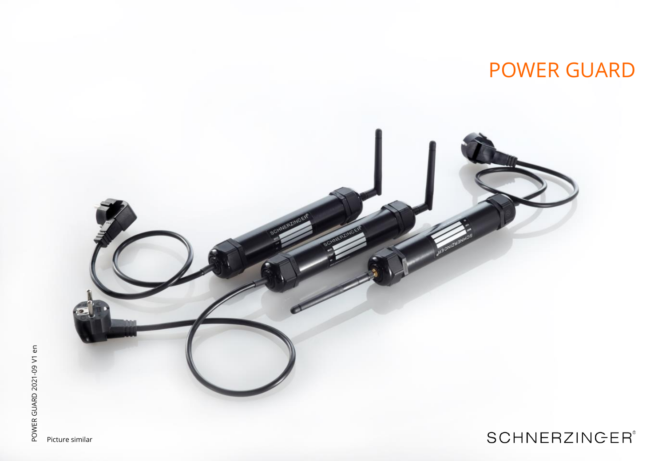# POWER GUARD



Picture similar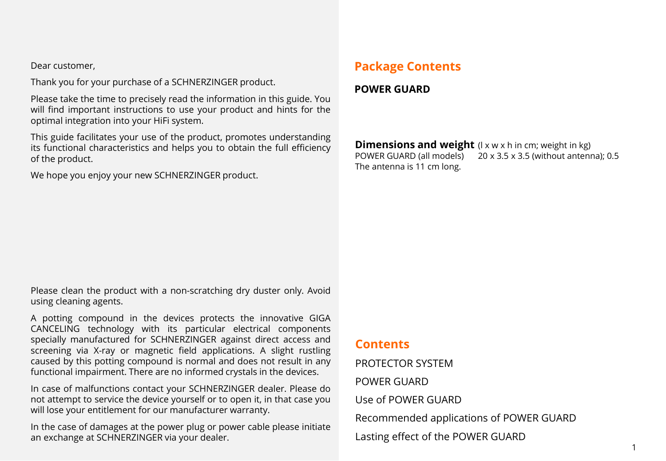Dear customer,

Thank you for your purchase of a SCHNERZINGER product.

Please take the time to precisely read the information in this guide. You will find important instructions to use your product and hints for the optimal integration into your HiFi system.

This guide facilitates your use of the product, promotes understanding its functional characteristics and helps you to obtain the full efficiency of the product.

We hope you enjoy your new SCHNERZINGER product.

# **Package Contents**

**POWER GUARD**

**Dimensions and weight** (I x w x h in cm; weight in kg) POWER GUARD (all models) 20 x 3.5 x 3.5 (without antenna); 0.5 The antenna is 11 cm long.

Please clean the product with a non-scratching dry duster only. Avoid using cleaning agents.

A potting compound in the devices protects the innovative GIGA CANCELING technology with its particular electrical components specially manufactured for SCHNERZINGER against direct access and screening via X-ray or magnetic field applications. A slight rustling caused by this potting compound is normal and does not result in any functional impairment. There are no informed crystals in the devices.

In case of malfunctions contact your SCHNERZINGER dealer. Please do not attempt to service the device yourself or to open it, in that case you will lose your entitlement for our manufacturer warranty.

In the case of damages at the power plug or power cable please initiate an exchange at SCHNERZINGER via your dealer.

### **Contents**

PROTECTOR SYSTEM

POWER GUARD

Use of POWER GUARD

Recommended applications of POWER GUARD

Lasting effect of the POWER GUARD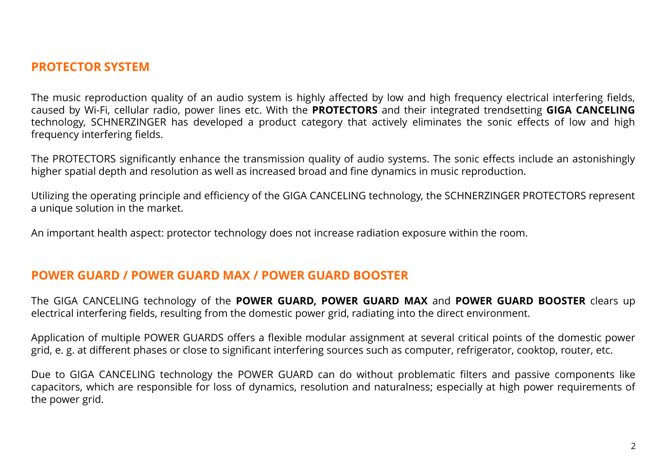## **PROTECTOR SYSTEM**

The music reproduction quality of an audio system is highly affected by low and high frequency electrical interfering fields, caused by Wi-Fi, cellular radio, power lines etc. With the **PROTECTORS** and their integrated trendsetting **GIGA CANCELING** technology, SCHNERZINGER has developed a product category that actively eliminates the sonic effects of low and high frequency interfering fields.

The PROTECTORS significantly enhance the transmission quality of audio systems. The sonic effects include an astonishingly higher spatial depth and resolution as well as increased broad and fine dynamics in music reproduction.

Utilizing the operating principle and efficiency of the GIGA CANCELING technology, the SCHNERZINGER PROTECTORS represent a unique solution in the market.

An important health aspect: protector technology does not increase radiation exposure within the room.

#### **POWER GUARD / POWER GUARD MAX / POWER GUARD BOOSTER**

The GIGA CANCELING technology of the **POWER GUARD, POWER GUARD MAX** and **POWER GUARD BOOSTER** clears up electrical interfering fields, resulting from the domestic power grid, radiating into the direct environment.

Application of multiple POWER GUARDS offers a flexible modular assignment at several critical points of the domestic power grid, e. g. at different phases or close to significant interfering sources such as computer, refrigerator, cooktop, router, etc.

Due to GIGA CANCELING technology the POWER GUARD can do without problematic filters and passive components like capacitors, which are responsible for loss of dynamics, resolution and naturalness; especially at high power requirements of the power grid.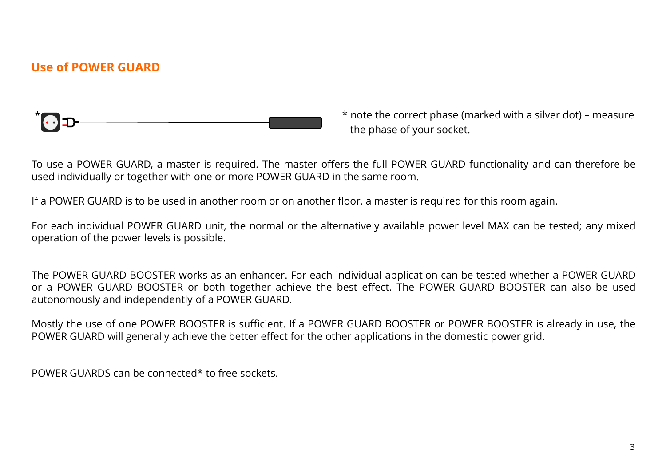# **Use of POWER GUARD**



\* note the correct phase (marked with a silver dot) – measure the phase of your socket.

To use a POWER GUARD, a master is required. The master offers the full POWER GUARD functionality and can therefore be used individually or together with one or more POWER GUARD in the same room.

If a POWER GUARD is to be used in another room or on another floor, a master is required for this room again.

For each individual POWER GUARD unit, the normal or the alternatively available power level MAX can be tested; any mixed operation of the power levels is possible.

The POWER GUARD BOOSTER works as an enhancer. For each individual application can be tested whether a POWER GUARD or a POWER GUARD BOOSTER or both together achieve the best effect. The POWER GUARD BOOSTER can also be used autonomously and independently of a POWER GUARD.

Mostly the use of one POWER BOOSTER is sufficient. If a POWER GUARD BOOSTER or POWER BOOSTER is already in use, the POWER GUARD will generally achieve the better effect for the other applications in the domestic power grid.

POWER GUARDS can be connected\* to free sockets.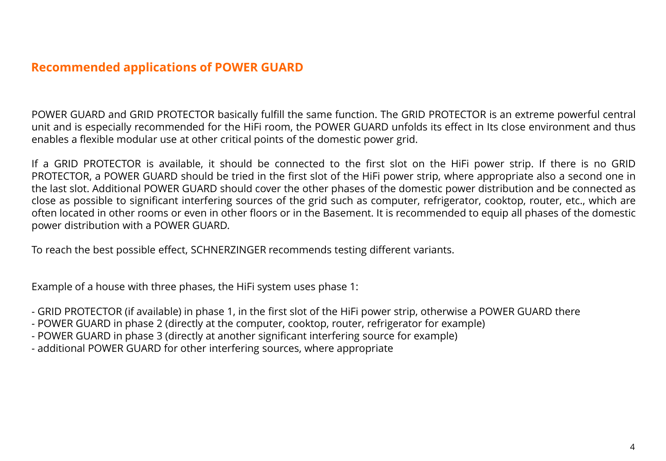# **Recommended applications of POWER GUARD**

POWER GUARD and GRID PROTECTOR basically fulfill the same function. The GRID PROTECTOR is an extreme powerful central unit and is especially recommended for the HiFi room, the POWER GUARD unfolds its effect in Its close environment and thus enables a flexible modular use at other critical points of the domestic power grid.

If a GRID PROTECTOR is available, it should be connected to the first slot on the HiFi power strip. If there is no GRID PROTECTOR, a POWER GUARD should be tried in the first slot of the HiFi power strip, where appropriate also a second one in the last slot. Additional POWER GUARD should cover the other phases of the domestic power distribution and be connected as close as possible to significant interfering sources of the grid such as computer, refrigerator, cooktop, router, etc., which are often located in other rooms or even in other floors or in the Basement. It is recommended to equip all phases of the domestic power distribution with a POWER GUARD.

To reach the best possible effect, SCHNERZINGER recommends testing different variants.

Example of a house with three phases, the HiFi system uses phase 1:

- GRID PROTECTOR (if available) in phase 1, in the first slot of the HiFi power strip, otherwise a POWER GUARD there
- POWER GUARD in phase 2 (directly at the computer, cooktop, router, refrigerator for example)
- POWER GUARD in phase 3 (directly at another significant interfering source for example)
- additional POWER GUARD for other interfering sources, where appropriate